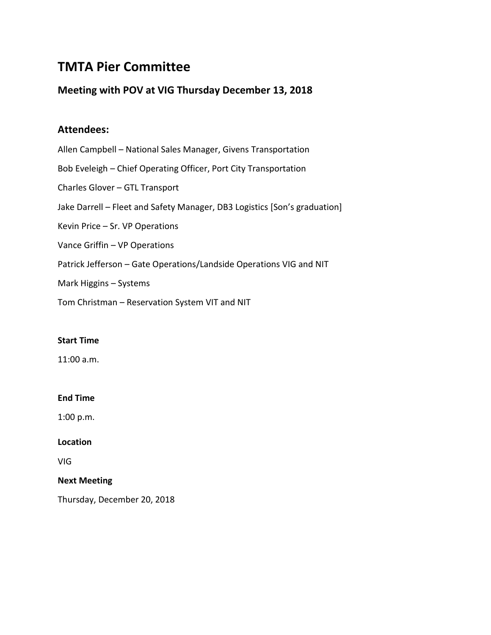# **TMTA Pier Committee**

# **Meeting with POV at VIG Thursday December 13, 2018**

# **Attendees:**

Allen Campbell – National Sales Manager, Givens Transportation Bob Eveleigh – Chief Operating Officer, Port City Transportation Charles Glover – GTL Transport Jake Darrell – Fleet and Safety Manager, DB3 Logistics [Son's graduation] Kevin Price – Sr. VP Operations Vance Griffin – VP Operations Patrick Jefferson – Gate Operations/Landside Operations VIG and NIT Mark Higgins – Systems

Tom Christman – Reservation System VIT and NIT

## **Start Time**

11:00 a.m.

## **End Time**

1:00 p.m.

## **Location**

VIG

## **Next Meeting**

Thursday, December 20, 2018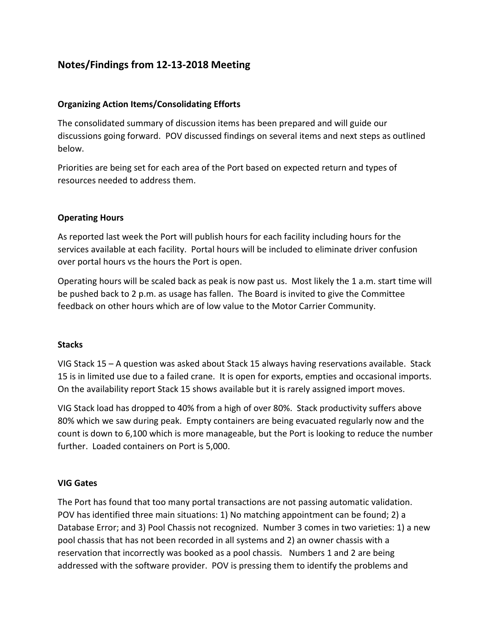# **Notes/Findings from 12-13-2018 Meeting**

# **Organizing Action Items/Consolidating Efforts**

The consolidated summary of discussion items has been prepared and will guide our discussions going forward. POV discussed findings on several items and next steps as outlined below.

Priorities are being set for each area of the Port based on expected return and types of resources needed to address them.

# **Operating Hours**

As reported last week the Port will publish hours for each facility including hours for the services available at each facility. Portal hours will be included to eliminate driver confusion over portal hours vs the hours the Port is open.

Operating hours will be scaled back as peak is now past us. Most likely the 1 a.m. start time will be pushed back to 2 p.m. as usage has fallen. The Board is invited to give the Committee feedback on other hours which are of low value to the Motor Carrier Community.

## **Stacks**

VIG Stack 15 – A question was asked about Stack 15 always having reservations available. Stack 15 is in limited use due to a failed crane. It is open for exports, empties and occasional imports. On the availability report Stack 15 shows available but it is rarely assigned import moves.

VIG Stack load has dropped to 40% from a high of over 80%. Stack productivity suffers above 80% which we saw during peak. Empty containers are being evacuated regularly now and the count is down to 6,100 which is more manageable, but the Port is looking to reduce the number further. Loaded containers on Port is 5,000.

## **VIG Gates**

The Port has found that too many portal transactions are not passing automatic validation. POV has identified three main situations: 1) No matching appointment can be found; 2) a Database Error; and 3) Pool Chassis not recognized. Number 3 comes in two varieties: 1) a new pool chassis that has not been recorded in all systems and 2) an owner chassis with a reservation that incorrectly was booked as a pool chassis. Numbers 1 and 2 are being addressed with the software provider. POV is pressing them to identify the problems and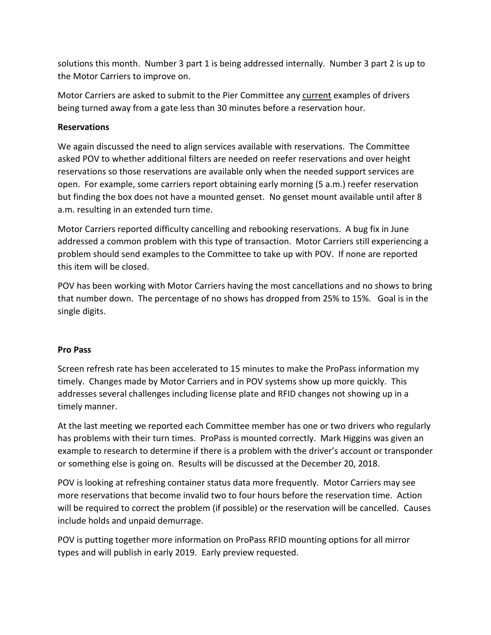solutions this month. Number 3 part 1 is being addressed internally. Number 3 part 2 is up to the Motor Carriers to improve on.

Motor Carriers are asked to submit to the Pier Committee any current examples of drivers being turned away from a gate less than 30 minutes before a reservation hour.

# **Reservations**

We again discussed the need to align services available with reservations. The Committee asked POV to whether additional filters are needed on reefer reservations and over height reservations so those reservations are available only when the needed support services are open. For example, some carriers report obtaining early morning (5 a.m.) reefer reservation but finding the box does not have a mounted genset. No genset mount available until after 8 a.m. resulting in an extended turn time.

Motor Carriers reported difficulty cancelling and rebooking reservations. A bug fix in June addressed a common problem with this type of transaction. Motor Carriers still experiencing a problem should send examples to the Committee to take up with POV. If none are reported this item will be closed.

POV has been working with Motor Carriers having the most cancellations and no shows to bring that number down. The percentage of no shows has dropped from 25% to 15%. Goal is in the single digits.

## **Pro Pass**

Screen refresh rate has been accelerated to 15 minutes to make the ProPass information my timely. Changes made by Motor Carriers and in POV systems show up more quickly. This addresses several challenges including license plate and RFID changes not showing up in a timely manner.

At the last meeting we reported each Committee member has one or two drivers who regularly has problems with their turn times. ProPass is mounted correctly. Mark Higgins was given an example to research to determine if there is a problem with the driver's account or transponder or something else is going on. Results will be discussed at the December 20, 2018.

POV is looking at refreshing container status data more frequently. Motor Carriers may see more reservations that become invalid two to four hours before the reservation time. Action will be required to correct the problem (if possible) or the reservation will be cancelled. Causes include holds and unpaid demurrage.

POV is putting together more information on ProPass RFID mounting options for all mirror types and will publish in early 2019. Early preview requested.